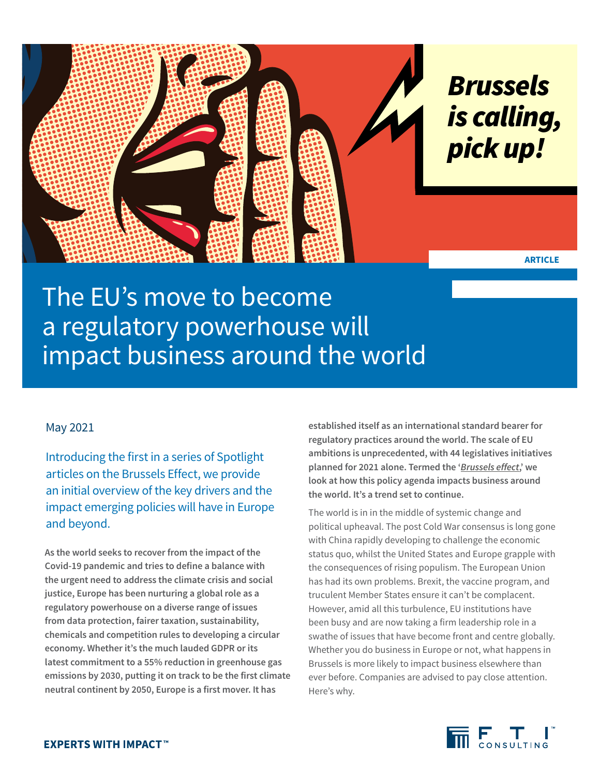

The EU's move to become a regulatory powerhouse will impact business around the world

## May 2021

Introducing the first in a series of Spotlight articles on the Brussels Effect, we provide an initial overview of the key drivers and the impact emerging policies will have in Europe and beyond.

**As the world seeks to recover from the impact of the Covid-19 pandemic and tries to define a balance with the urgent need to address the climate crisis and social justice, Europe has been nurturing a global role as a regulatory powerhouse on a diverse range of issues from data protection, fairer taxation, sustainability, chemicals and competition rules to developing a circular economy. Whether it's the much lauded GDPR or its latest commitment to a 55% reduction in greenhouse gas emissions by 2030, putting it on track to be the first climate neutral continent by 2050, Europe is a first mover. It has** 

**established itself as an international standard bearer for regulatory practices around the world. The scale of EU ambitions is unprecedented, with 44 legislatives initiatives planned for 2021 alone. Termed the '***[Brussels effect](https://www.bloomberg.com/news/articles/2020-03-21/how-the-brussels-effect-helps-the-eu-rule-the-world-quicktake)***,' we look at how this policy agenda impacts business around the world. It's a trend set to continue.** 

The world is in in the middle of systemic change and political upheaval. The post Cold War consensus is long gone with China rapidly developing to challenge the economic status quo, whilst the United States and Europe grapple with the consequences of rising populism. The European Union has had its own problems. Brexit, the vaccine program, and truculent Member States ensure it can't be complacent. However, amid all this turbulence, EU institutions have been busy and are now taking a firm leadership role in a swathe of issues that have become front and centre globally. Whether you do business in Europe or not, what happens in Brussels is more likely to impact business elsewhere than ever before. Companies are advised to pay close attention. Here's why.

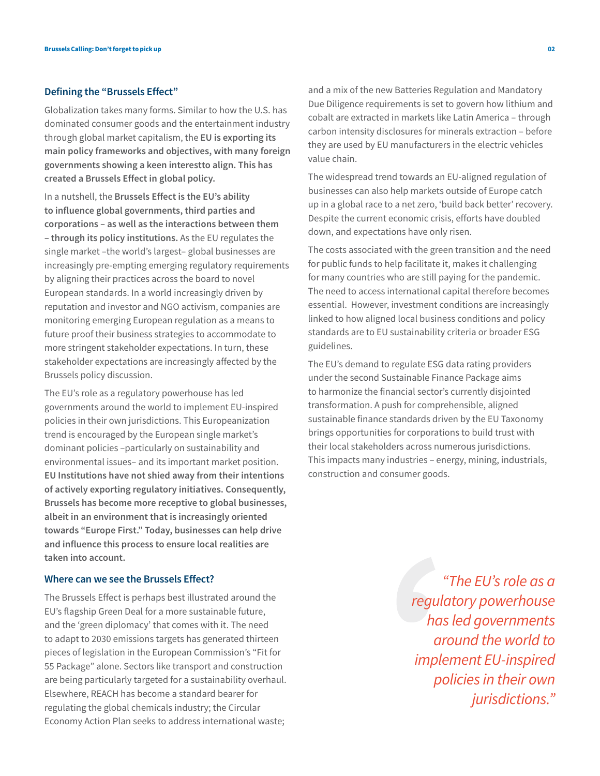## **Defining the "Brussels Effect"**

Globalization takes many forms. Similar to how the U.S. has dominated consumer goods and the entertainment industry through global market capitalism, the **EU is exporting its main policy frameworks and objectives, with many foreign governments showing a keen interestto align. This has created a Brussels Effect in global policy.** 

In a nutshell, the **Brussels Effect is the EU's ability to influence global governments, third parties and corporations – as well as the interactions between them – through its policy institutions.** As the EU regulates the single market –the world's largest– global businesses are increasingly pre-empting emerging regulatory requirements by aligning their practices across the board to novel European standards. In a world increasingly driven by reputation and investor and NGO activism, companies are monitoring emerging European regulation as a means to future proof their business strategies to accommodate to more stringent stakeholder expectations. In turn, these stakeholder expectations are increasingly affected by the Brussels policy discussion.

The EU's role as a regulatory powerhouse has led governments around the world to implement EU-inspired policies in their own jurisdictions. This Europeanization trend is encouraged by the European single market's dominant policies –particularly on sustainability and environmental issues– and its important market position. **EU Institutions have not shied away from their intentions of actively exporting regulatory initiatives. Consequently, Brussels has become more receptive to global businesses, albeit in an environment that is increasingly oriented towards "Europe First." Today, businesses can help drive and influence this process to ensure local realities are taken into account.** 

## **Where can we see the Brussels Effect?**

The Brussels Effect is perhaps best illustrated around the EU's flagship Green Deal for a more sustainable future, and the 'green diplomacy' that comes with it. The need to adapt to 2030 emissions targets has generated thirteen pieces of legislation in the European Commission's "Fit for 55 Package" alone. Sectors like transport and construction are being particularly targeted for a sustainability overhaul. Elsewhere, REACH has become a standard bearer for regulating the global chemicals industry; the Circular Economy Action Plan seeks to address international waste;

and a mix of the new Batteries Regulation and Mandatory Due Diligence requirements is set to govern how lithium and cobalt are extracted in markets like Latin America – through carbon intensity disclosures for minerals extraction – before they are used by EU manufacturers in the electric vehicles value chain.

The widespread trend towards an EU-aligned regulation of businesses can also help markets outside of Europe catch up in a global race to a net zero, 'build back better' recovery. Despite the current economic crisis, efforts have doubled down, and expectations have only risen.

The costs associated with the green transition and the need for public funds to help facilitate it, makes it challenging for many countries who are still paying for the pandemic. The need to access international capital therefore becomes essential. However, investment conditions are increasingly linked to how aligned local business conditions and policy standards are to EU sustainability criteria or broader ESG guidelines.

The EU's demand to regulate ESG data rating providers under the second Sustainable Finance Package aims to harmonize the financial sector's currently disjointed transformation. A push for comprehensible, aligned sustainable finance standards driven by the EU Taxonomy brings opportunities for corporations to build trust with their local stakeholders across numerous jurisdictions. This impacts many industries – energy, mining, industrials, construction and consumer goods.

> *"The EU's role as a regulatory powerhouse has led governments around the world to implement EU-inspired policies in their own jurisdictions."*